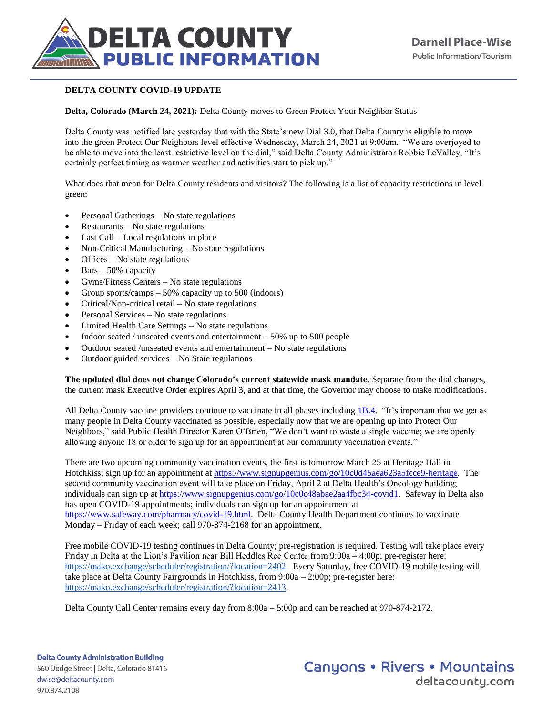

## **DELTA COUNTY COVID-19 UPDATE**

**Delta, Colorado (March 24, 2021):** Delta County moves to Green Protect Your Neighbor Status

Delta County was notified late yesterday that with the State's new Dial 3.0, that Delta County is eligible to move into the green Protect Our Neighbors level effective Wednesday, March 24, 2021 at 9:00am. "We are overjoyed to be able to move into the least restrictive level on the dial," said Delta County Administrator Robbie LeValley, "It's certainly perfect timing as warmer weather and activities start to pick up."

What does that mean for Delta County residents and visitors? The following is a list of capacity restrictions in level green:

- Personal Gatherings No state regulations
- Restaurants No state regulations
- Last Call Local regulations in place
- Non-Critical Manufacturing No state regulations
- Offices No state regulations
- $\bullet$  Bars 50% capacity
- Gyms/Fitness Centers No state regulations
- Group sports/camps 50% capacity up to 500 (indoors)
- Critical/Non-critical retail No state regulations
- Personal Services No state regulations
- Limited Health Care Settings No state regulations
- Indoor seated / unseated events and entertainment 50% up to 500 people
- Outdoor seated /unseated events and entertainment No state regulations
- Outdoor guided services No State regulations

**The updated dial does not change Colorado's current statewide mask mandate.** Separate from the dial changes, the current mask Executive Order expires April 3, and at that time, the Governor may choose to make modifications.

All Delta County vaccine providers continue to vaccinate in all phases including [1B.4.](https://covid19.colorado.gov/for-coloradans/vaccine/find-out-when-youre-eligible-for-a-covid-19-vaccine) "It's important that we get as many people in Delta County vaccinated as possible, especially now that we are opening up into Protect Our Neighbors," said Public Health Director Karen O'Brien, "We don't want to waste a single vaccine; we are openly allowing anyone 18 or older to sign up for an appointment at our community vaccination events."

There are two upcoming community vaccination events, the first is tomorrow March 25 at Heritage Hall in Hotchkiss; sign up for an appointment at [https://www.signupgenius.com/go/10c0d45aea623a5fcce9-heritage.](https://www.signupgenius.com/go/10c0d45aea623a5fcce9-heritage) The second community vaccination event will take place on Friday, April 2 at Delta Health's Oncology building; individuals can sign up a[t https://www.signupgenius.com/go/10c0c48abae2aa4fbc34-covid1.](https://www.signupgenius.com/go/10c0c48abae2aa4fbc34-covid1) Safeway in Delta also has open COVID-19 appointments; individuals can sign up for an appointment at [https://www.safeway.com/pharmacy/covid-19.html.](https://www.safeway.com/pharmacy/covid-19.html) Delta County Health Department continues to vaccinate Monday – Friday of each week; call 970-874-2168 for an appointment.

Free mobile COVID-19 testing continues in Delta County; pre-registration is required. Testing will take place every Friday in Delta at the Lion's Pavilion near Bill Heddles Rec Center from 9:00a – 4:00p; pre-register here: [https://mako.exchange/scheduler/registration/?location=2402.](https://mako.exchange/scheduler/registration/?location=2402) Every Saturday, free COVID-19 mobile testing will take place at Delta County Fairgrounds in Hotchkiss, from 9:00a – 2:00p; pre-register here: [https://mako.exchange/scheduler/registration/?location=2413.](https://mako.exchange/scheduler/registration/?location=2413)

Delta County Call Center remains every day from 8:00a – 5:00p and can be reached at 970-874-2172.

**Delta County Administration Building** 560 Dodge Street | Delta, Colorado 81416 dwise@deltacounty.com 970.874.2108

**Canyons • Rivers • Mountains** deltacountu.com